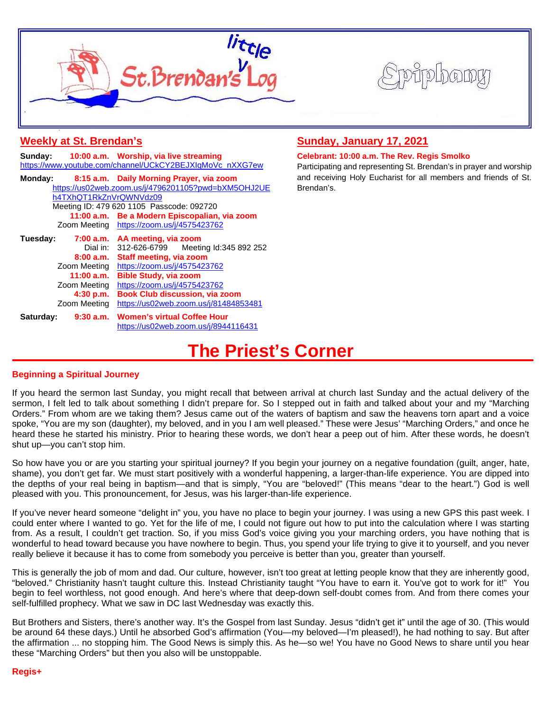



| <b>Weekly at St. Brendan's</b>                                                                                                                                                                                                                                                                                                                                  | Sunday, January 17, 2021                                                                                                                                                                           |
|-----------------------------------------------------------------------------------------------------------------------------------------------------------------------------------------------------------------------------------------------------------------------------------------------------------------------------------------------------------------|----------------------------------------------------------------------------------------------------------------------------------------------------------------------------------------------------|
| 10:00 a.m. Worship, via live streaming<br>Sunday:<br>https://www.youtube.com/channel/UCkCY2BEJXIqMoVc_nXXG7ew                                                                                                                                                                                                                                                   | Celebrant: 10:00 a.m. The Rev. Regis Smolko<br>Participating and representing St. Brendan's in prayer and worship<br>and receiving Holy Eucharist for all members and friends of St.<br>Brendan's. |
| Monday:<br>8:15 a.m. Daily Morning Prayer, via zoom<br>https://us02web.zoom.us/j/4796201105?pwd=bXM5OHJ2UE<br>h4TXhQT1RkZnVrQWNVdz09<br>Meeting ID: 479 620 1105 Passcode: 092720<br>11:00 a.m. Be a Modern Episcopalian, via zoom<br>Zoom Meeting https://zoom.us/j/4575423762                                                                                 |                                                                                                                                                                                                    |
| Tuesday:<br>7:00 a.m. AA meeting, via zoom<br>Dial in: 312-626-6799 Meeting Id:345 892 252<br>8:00 a.m. Staff meeting, via zoom<br>Zoom Meeting https://zoom.us/j/4575423762<br>11:00 a.m. Bible Study, via zoom<br>Zoom Meeting https://zoom.us/j/4575423762<br>4:30 p.m. Book Club discussion, via zoom<br>Zoom Meeting https://us02web.zoom.us/j/81484853481 |                                                                                                                                                                                                    |
| 9:30 a.m. Women's virtual Coffee Hour<br>Saturday:<br>https://us02web.zoom.us/j/8944116431                                                                                                                                                                                                                                                                      |                                                                                                                                                                                                    |

# **The Priest's Corner**

### **Beginning a Spiritual Journey**

If you heard the sermon last Sunday, you might recall that between arrival at church last Sunday and the actual delivery of the sermon, I felt led to talk about something I didn't prepare for. So I stepped out in faith and talked about your and my "Marching Orders." From whom are we taking them? Jesus came out of the waters of baptism and saw the heavens torn apart and a voice spoke, "You are my son (daughter), my beloved, and in you I am well pleased." These were Jesus' "Marching Orders," and once he heard these he started his ministry. Prior to hearing these words, we don't hear a peep out of him. After these words, he doesn't shut up—you can't stop him.

So how have you or are you starting your spiritual journey? If you begin your journey on a negative foundation (guilt, anger, hate, shame), you don't get far. We must start positively with a wonderful happening, a larger-than-life experience. You are dipped into the depths of your real being in baptism—and that is simply, "You are "beloved!" (This means "dear to the heart.") God is well pleased with you. This pronouncement, for Jesus, was his larger-than-life experience.

If you've never heard someone "delight in" you, you have no place to begin your journey. I was using a new GPS this past week. I could enter where I wanted to go. Yet for the life of me, I could not figure out how to put into the calculation where I was starting from. As a result, I couldn't get traction. So, if you miss God's voice giving you your marching orders, you have nothing that is wonderful to head toward because you have nowhere to begin. Thus, you spend your life trying to give it to yourself, and you never really believe it because it has to come from somebody you perceive is better than you, greater than yourself.

This is generally the job of mom and dad. Our culture, however, isn't too great at letting people know that they are inherently good, "beloved." Christianity hasn't taught culture this. Instead Christianity taught "You have to earn it. You've got to work for it!" You begin to feel worthless, not good enough. And here's where that deep-down self-doubt comes from. And from there comes your self-fulfilled prophecy. What we saw in DC last Wednesday was exactly this.

But Brothers and Sisters, there's another way. It's the Gospel from last Sunday. Jesus "didn't get it" until the age of 30. (This would be around 64 these days.) Until he absorbed God's affirmation (You—my beloved—I'm pleased!), he had nothing to say. But after the affirmation ... no stopping him. The Good News is simply this. As he—so we! You have no Good News to share until you hear these "Marching Orders" but then you also will be unstoppable.

### **Regis+**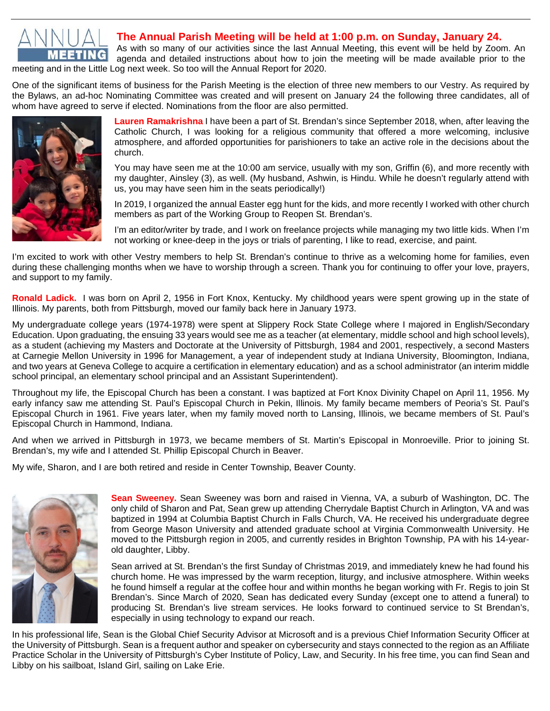

## **The Annual Parish Meeting will be held at 1:00 p.m. on Sunday, January 24.**

As with so many of our activities since the last Annual Meeting, this event will be held by Zoom. An agenda and detailed instructions about how to join the meeting will be made available prior to the meeting and in the Little Log next week. So too will the Annual Report for 2020.

One of the significant items of business for the Parish Meeting is the election of three new members to our Vestry. As required by the Bylaws, an ad-hoc Nominating Committee was created and will present on January 24 the following three candidates, all of whom have agreed to serve if elected. Nominations from the floor are also permitted.



**Lauren Ramakrishna** I have been a part of St. Brendan's since September 2018, when, after leaving the Catholic Church, I was looking for a religious community that offered a more welcoming, inclusive atmosphere, and afforded opportunities for parishioners to take an active role in the decisions about the church.

You may have seen me at the 10:00 am service, usually with my son, Griffin (6), and more recently with my daughter, Ainsley (3), as well. (My husband, Ashwin, is Hindu. While he doesn't regularly attend with us, you may have seen him in the seats periodically!)

In 2019, I organized the annual Easter egg hunt for the kids, and more recently I worked with other church members as part of the Working Group to Reopen St. Brendan's.

I'm an editor/writer by trade, and I work on freelance projects while managing my two little kids. When I'm not working or knee-deep in the joys or trials of parenting, I like to read, exercise, and paint.

I'm excited to work with other Vestry members to help St. Brendan's continue to thrive as a welcoming home for families, even during these challenging months when we have to worship through a screen. Thank you for continuing to offer your love, prayers, and support to my family.

**Ronald Ladick.** I was born on April 2, 1956 in Fort Knox, Kentucky. My childhood years were spent growing up in the state of Illinois. My parents, both from Pittsburgh, moved our family back here in January 1973.

My undergraduate college years (1974-1978) were spent at Slippery Rock State College where I majored in English/Secondary Education. Upon graduating, the ensuing 33 years would see me as a teacher (at elementary, middle school and high school levels), as a student (achieving my Masters and Doctorate at the University of Pittsburgh, 1984 and 2001, respectively, a second Masters at Carnegie Mellon University in 1996 for Management, a year of independent study at Indiana University, Bloomington, Indiana, and two years at Geneva College to acquire a certification in elementary education) and as a school administrator (an interim middle school principal, an elementary school principal and an Assistant Superintendent).

Throughout my life, the Episcopal Church has been a constant. I was baptized at Fort Knox Divinity Chapel on April 11, 1956. My early infancy saw me attending St. Paul's Episcopal Church in Pekin, Illinois. My family became members of Peoria's St. Paul's Episcopal Church in 1961. Five years later, when my family moved north to Lansing, Illinois, we became members of St. Paul's Episcopal Church in Hammond, Indiana.

And when we arrived in Pittsburgh in 1973, we became members of St. Martin's Episcopal in Monroeville. Prior to joining St. Brendan's, my wife and I attended St. Phillip Episcopal Church in Beaver.

My wife, Sharon, and I are both retired and reside in Center Township, Beaver County.



**Sean Sweeney.** Sean Sweeney was born and raised in Vienna, VA, a suburb of Washington, DC. The only child of Sharon and Pat, Sean grew up attending Cherrydale Baptist Church in Arlington, VA and was baptized in 1994 at Columbia Baptist Church in Falls Church, VA. He received his undergraduate degree from George Mason University and attended graduate school at Virginia Commonwealth University. He moved to the Pittsburgh region in 2005, and currently resides in Brighton Township, PA with his 14-yearold daughter, Libby.

Sean arrived at St. Brendan's the first Sunday of Christmas 2019, and immediately knew he had found his church home. He was impressed by the warm reception, liturgy, and inclusive atmosphere. Within weeks he found himself a regular at the coffee hour and within months he began working with Fr. Regis to join St Brendan's. Since March of 2020, Sean has dedicated every Sunday (except one to attend a funeral) to producing St. Brendan's live stream services. He looks forward to continued service to St Brendan's, especially in using technology to expand our reach.

In his professional life, Sean is the Global Chief Security Advisor at Microsoft and is a previous Chief Information Security Officer at the University of Pittsburgh. Sean is a frequent author and speaker on cybersecurity and stays connected to the region as an Affiliate Practice Scholar in the University of Pittsburgh's Cyber Institute of Policy, Law, and Security. In his free time, you can find Sean and Libby on his sailboat, Island Girl, sailing on Lake Erie.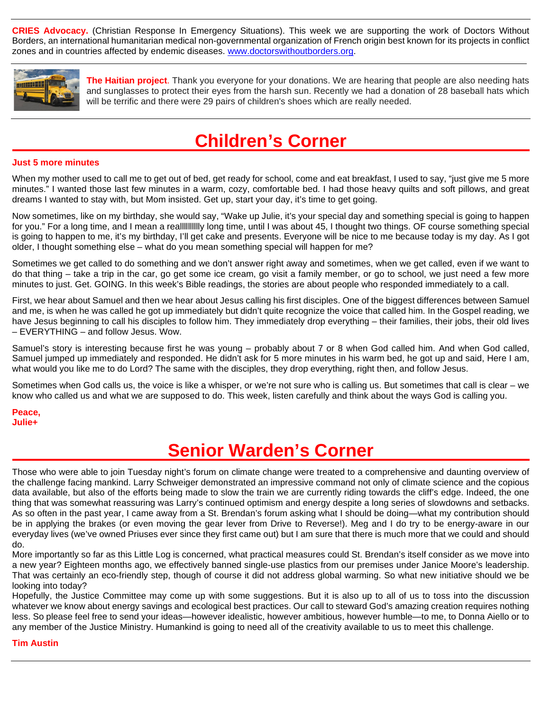**CRIES Advocacy.** (Christian Response In Emergency Situations). This week we are supporting the work of Doctors Without Borders, an international humanitarian medical non-governmental organization of French origin best known for its projects in conflict zones and in countries affected by endemic diseases. [www.doctorswithoutborders.org.](http://www.doctorswithoutborders.org/)



**The Haitian project**. Thank you everyone for your donations. We are hearing that people are also needing hats and sunglasses to protect their eyes from the harsh sun. Recently we had a donation of 28 baseball hats which will be terrific and there were 29 pairs of children's shoes which are really needed.

## **Children's Corner**

### **Just 5 more minutes**

When my mother used to call me to get out of bed, get ready for school, come and eat breakfast, I used to say, "just give me 5 more minutes." I wanted those last few minutes in a warm, cozy, comfortable bed. I had those heavy quilts and soft pillows, and great dreams I wanted to stay with, but Mom insisted. Get up, start your day, it's time to get going.

Now sometimes, like on my birthday, she would say, "Wake up Julie, it's your special day and something special is going to happen for you." For a long time, and I mean a realllllllllly long time, until I was about 45, I thought two things. OF course something special is going to happen to me, it's my birthday, I'll get cake and presents. Everyone will be nice to me because today is my day. As I got older, I thought something else – what do you mean something special will happen for me?

Sometimes we get called to do something and we don't answer right away and sometimes, when we get called, even if we want to do that thing – take a trip in the car, go get some ice cream, go visit a family member, or go to school, we just need a few more minutes to just. Get. GOING. In this week's Bible readings, the stories are about people who responded immediately to a call.

First, we hear about Samuel and then we hear about Jesus calling his first disciples. One of the biggest differences between Samuel and me, is when he was called he got up immediately but didn't quite recognize the voice that called him. In the Gospel reading, we have Jesus beginning to call his disciples to follow him. They immediately drop everything – their families, their jobs, their old lives – EVERYTHING – and follow Jesus. Wow.

Samuel's story is interesting because first he was young – probably about 7 or 8 when God called him. And when God called, Samuel jumped up immediately and responded. He didn't ask for 5 more minutes in his warm bed, he got up and said, Here I am, what would you like me to do Lord? The same with the disciples, they drop everything, right then, and follow Jesus.

Sometimes when God calls us, the voice is like a whisper, or we're not sure who is calling us. But sometimes that call is clear – we know who called us and what we are supposed to do. This week, listen carefully and think about the ways God is calling you.

**Peace, Julie+**

## **Senior Warden's Corner**

Those who were able to join Tuesday night's forum on climate change were treated to a comprehensive and daunting overview of the challenge facing mankind. Larry Schweiger demonstrated an impressive command not only of climate science and the copious data available, but also of the efforts being made to slow the train we are currently riding towards the cliff's edge. Indeed, the one thing that was somewhat reassuring was Larry's continued optimism and energy despite a long series of slowdowns and setbacks. As so often in the past year, I came away from a St. Brendan's forum asking what I should be doing—what my contribution should be in applying the brakes (or even moving the gear lever from Drive to Reverse!). Meg and I do try to be energy-aware in our everyday lives (we've owned Priuses ever since they first came out) but I am sure that there is much more that we could and should do.

More importantly so far as this Little Log is concerned, what practical measures could St. Brendan's itself consider as we move into a new year? Eighteen months ago, we effectively banned single-use plastics from our premises under Janice Moore's leadership. That was certainly an eco-friendly step, though of course it did not address global warming. So what new initiative should we be looking into today?

Hopefully, the Justice Committee may come up with some suggestions. But it is also up to all of us to toss into the discussion whatever we know about energy savings and ecological best practices. Our call to steward God's amazing creation requires nothing less. So please feel free to send your ideas—however idealistic, however ambitious, however humble—to me, to Donna Aiello or to any member of the Justice Ministry. Humankind is going to need all of the creativity available to us to meet this challenge.

**Tim Austin**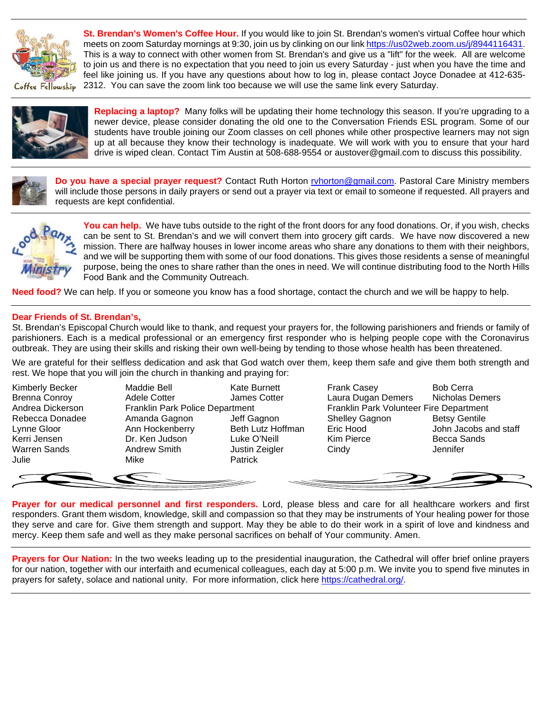

**St. Brendan's Women's Coffee Hour.** If you would like to join St. Brendan's women's virtual Coffee hour which meets on zoom Saturday mornings at 9:30, join us by clinking on our link [https://us02web.zoom.us/j/8944116431.](https://us02web.zoom.us/j/8944116431) This is a way to connect with other women from St. Brendan's and give us a "lift" for the week. All are welcome to join us and there is no expectation that you need to join us every Saturday - just when you have the time and feel like joining us. If you have any questions about how to log in, please contact Joyce Donadee at 412-635- 2312. You can save the zoom link too because we will use the same link every Saturday.

Coffee Fellowskip



**Replacing a laptop?** Many folks will be updating their home technology this season. If you're upgrading to a newer device, please consider donating the old one to the Conversation Friends ESL program. Some of our students have trouble joining our Zoom classes on cell phones while other prospective learners may not sign up at all because they know their technology is inadequate. We will work with you to ensure that your hard drive is wiped clean. Contact Tim Austin at 508-688-9554 or austover@gmail.com to discuss this possibility.



**Do you have a special prayer request?** Contact Ruth Horton [rvhorton@gmail.com.](mailto:rvhorton@gmail.com) Pastoral Care Ministry members will include those persons in daily prayers or send out a prayer via text or email to someone if requested. All prayers and requests are kept confidential.



**You can help.** We have tubs outside to the right of the front doors for any food donations. Or, if you wish, checks can be sent to St. Brendan's and we will convert them into grocery gift cards. We have now discovered a new mission. There are halfway houses in lower income areas who share any donations to them with their neighbors, and we will be supporting them with some of our food donations. This gives those residents a sense of meaningful purpose, being the ones to share rather than the ones in need. We will continue distributing food to the North Hills Food Bank and the Community Outreach.

**Need food?** We can help. If you or someone you know has a food shortage, contact the church and we will be happy to help.

## **Dear Friends of St. Brendan's,**

St. Brendan's Episcopal Church would like to thank, and request your prayers for, the following parishioners and friends or family of parishioners. Each is a medical professional or an emergency first responder who is helping people cope with the Coronavirus outbreak. They are using their skills and risking their own well-being by tending to those whose health has been threatened.

We are grateful for their selfless dedication and ask that God watch over them, keep them safe and give them both strength and rest. We hope that you will join the church in thanking and praying for:

Julie Mike Patrick

Kimberly Becker **Maddie Bell** Kate Burnett Frank Casey **Bob Cerra** Brenna Conroy **Adele Cotter** James Cotter Laura Dugan Demers Nicholas Demers Andrea Dickerson Franklin Park Police Department Franklin Park Volunteer Fire Department Rebecca Donadee Amanda Gagnon Jeff Gagnon Shelley Gagnon Betsy Gentile<br>
Lynne Gloor Chan Hockenberry Beth Lutz Hoffman Eric Hood John Jacobs and Betsy Gentile Lynne Gloor Ann Hockenberry Beth Lutz Hoffman Eric Hood John Jacobs and staff Kerri Jensen **National Communist Communist Communist Communist Communist Communist Communist Communist Communist Communist Communist Communist Communist Communist Communist Communist Communist Communist Communist Communist** Warren Sands **Andrew Smith** Justin Zeigler Cindy Jennifer

**Prayer for our medical personnel and first responders.** Lord, please bless and care for all healthcare workers and first responders. Grant them wisdom, knowledge, skill and compassion so that they may be instruments of Your healing power for those they serve and care for. Give them strength and support. May they be able to do their work in a spirit of love and kindness and mercy. Keep them safe and well as they make personal sacrifices on behalf of Your community. Amen.

**Prayers for Our Nation:** In the two weeks leading up to the presidential inauguration, the Cathedral will offer brief online prayers for our nation, together with our interfaith and ecumenical colleagues, each day at 5:00 p.m. We invite you to spend five minutes in prayers for safety, solace and national unity. For more information, click here [https://cathedral.org/.](https://cathedral.org/)